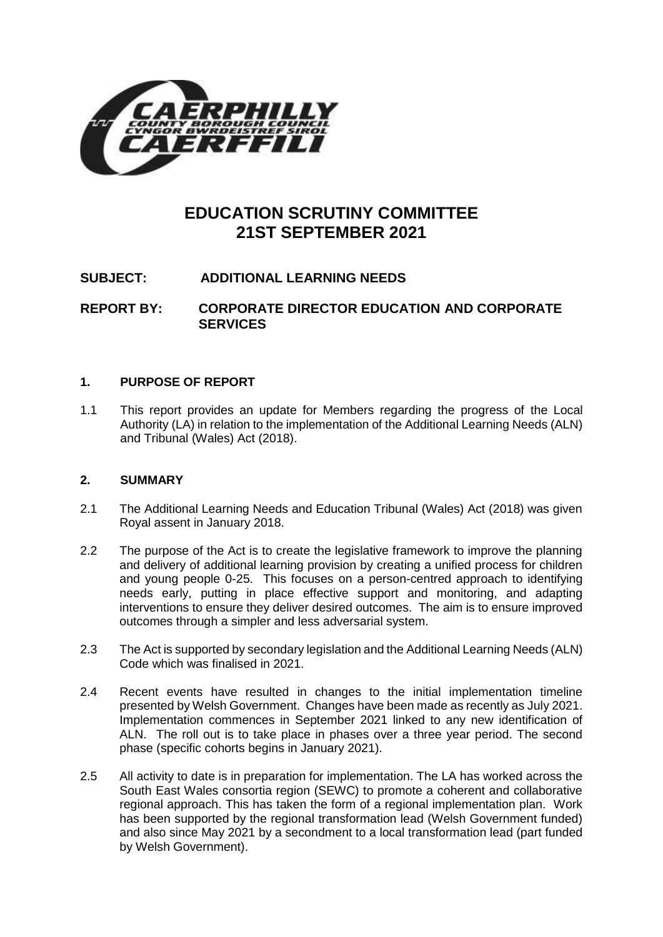

# **EDUCATION SCRUTINY COMMITTEE 21ST SEPTEMBER 2021**

## **SUBJECT: ADDITIONAL LEARNING NEEDS**

**REPORT BY: CORPORATE DIRECTOR EDUCATION AND CORPORATE SERVICES**

## **1. PURPOSE OF REPORT**

1.1 This report provides an update for Members regarding the progress of the Local Authority (LA) in relation to the implementation of the Additional Learning Needs (ALN) and Tribunal (Wales) Act (2018).

## **2. SUMMARY**

- 2.1 The Additional Learning Needs and Education Tribunal (Wales) Act (2018) was given Royal assent in January 2018.
- 2.2 The purpose of the Act is to create the legislative framework to improve the planning and delivery of additional learning provision by creating a unified process for children and young people 0-25. This focuses on a person-centred approach to identifying needs early, putting in place effective support and monitoring, and adapting interventions to ensure they deliver desired outcomes. The aim is to ensure improved outcomes through a simpler and less adversarial system.
- 2.3 The Act is supported by secondary legislation and the Additional Learning Needs (ALN) Code which was finalised in 2021.
- 2.4 Recent events have resulted in changes to the initial implementation timeline presented by Welsh Government. Changes have been made as recently as July 2021. Implementation commences in September 2021 linked to any new identification of ALN. The roll out is to take place in phases over a three year period. The second phase (specific cohorts begins in January 2021).
- 2.5 All activity to date is in preparation for implementation. The LA has worked across the South East Wales consortia region (SEWC) to promote a coherent and collaborative regional approach. This has taken the form of a regional implementation plan. Work has been supported by the regional transformation lead (Welsh Government funded) and also since May 2021 by a secondment to a local transformation lead (part funded by Welsh Government).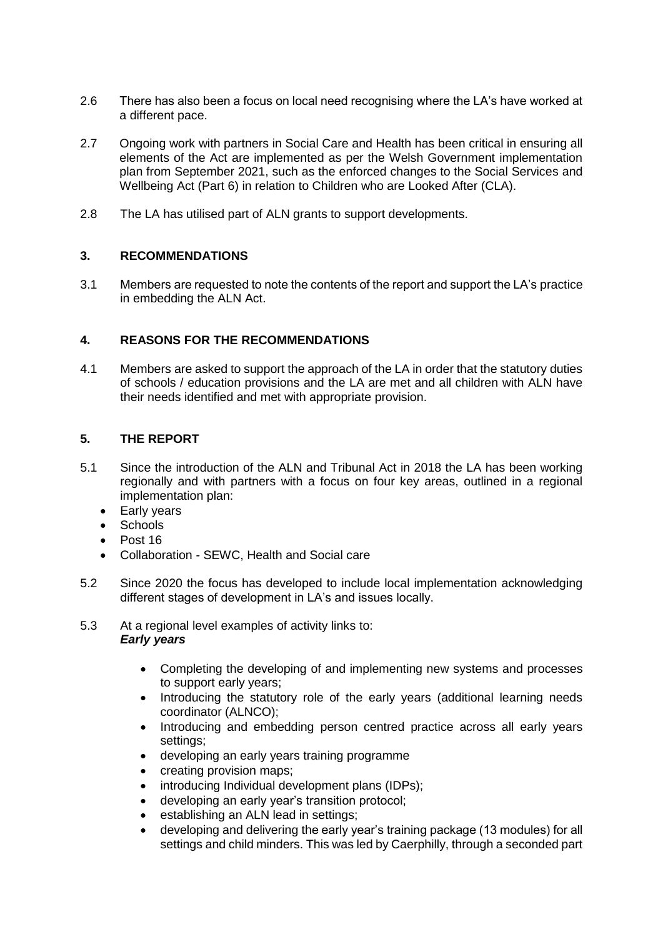- 2.6 There has also been a focus on local need recognising where the LA's have worked at a different pace.
- 2.7 Ongoing work with partners in Social Care and Health has been critical in ensuring all elements of the Act are implemented as per the Welsh Government implementation plan from September 2021, such as the enforced changes to the Social Services and Wellbeing Act (Part 6) in relation to Children who are Looked After (CLA).
- 2.8 The LA has utilised part of ALN grants to support developments.

## **3. RECOMMENDATIONS**

3.1 Members are requested to note the contents of the report and support the LA's practice in embedding the ALN Act.

## **4. REASONS FOR THE RECOMMENDATIONS**

4.1 Members are asked to support the approach of the LA in order that the statutory duties of schools / education provisions and the LA are met and all children with ALN have their needs identified and met with appropriate provision.

## **5. THE REPORT**

- 5.1 Since the introduction of the ALN and Tribunal Act in 2018 the LA has been working regionally and with partners with a focus on four key areas, outlined in a regional implementation plan:
	- Early years
	- Schools
	- Post 16
	- Collaboration SEWC, Health and Social care
- 5.2 Since 2020 the focus has developed to include local implementation acknowledging different stages of development in LA's and issues locally.
- 5.3 At a regional level examples of activity links to: *Early years* 
	- Completing the developing of and implementing new systems and processes to support early years;
	- Introducing the statutory role of the early years (additional learning needs coordinator (ALNCO);
	- Introducing and embedding person centred practice across all early years settings;
	- developing an early years training programme
	- creating provision maps;
	- introducing Individual development plans (IDPs);
	- developing an early year's transition protocol;
	- establishing an ALN lead in settings;
	- developing and delivering the early year's training package (13 modules) for all settings and child minders. This was led by Caerphilly, through a seconded part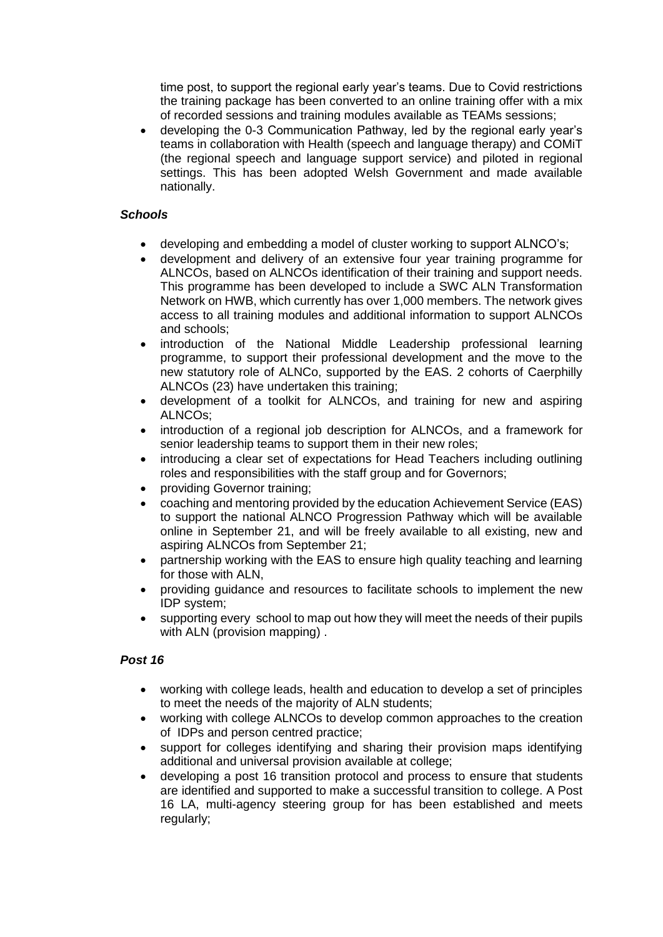time post, to support the regional early year's teams. Due to Covid restrictions the training package has been converted to an online training offer with a mix of recorded sessions and training modules available as TEAMs sessions;

 developing the 0-3 Communication Pathway, led by the regional early year's teams in collaboration with Health (speech and language therapy) and COMiT (the regional speech and language support service) and piloted in regional settings. This has been adopted Welsh Government and made available nationally.

## *Schools*

- developing and embedding a model of cluster working to support ALNCO's;
- development and delivery of an extensive four year training programme for ALNCOs, based on ALNCOs identification of their training and support needs. This programme has been developed to include a SWC ALN Transformation Network on HWB, which currently has over 1,000 members. The network gives access to all training modules and additional information to support ALNCOs and schools;
- introduction of the National Middle Leadership professional learning programme, to support their professional development and the move to the new statutory role of ALNCo, supported by the EAS. 2 cohorts of Caerphilly ALNCOs (23) have undertaken this training;
- development of a toolkit for ALNCOs, and training for new and aspiring ALNCOs;
- introduction of a regional job description for ALNCOs, and a framework for senior leadership teams to support them in their new roles;
- introducing a clear set of expectations for Head Teachers including outlining roles and responsibilities with the staff group and for Governors;
- providing Governor training;
- coaching and mentoring provided by the education Achievement Service (EAS) to support the national ALNCO Progression Pathway which will be available online in September 21, and will be freely available to all existing, new and aspiring ALNCOs from September 21;
- partnership working with the EAS to ensure high quality teaching and learning for those with ALN,
- providing guidance and resources to facilitate schools to implement the new IDP system;
- supporting every school to map out how they will meet the needs of their pupils with ALN (provision mapping) .

## *Post 16*

- working with college leads, health and education to develop a set of principles to meet the needs of the majority of ALN students;
- working with college ALNCOs to develop common approaches to the creation of IDPs and person centred practice;
- support for colleges identifying and sharing their provision maps identifying additional and universal provision available at college;
- developing a post 16 transition protocol and process to ensure that students are identified and supported to make a successful transition to college. A Post 16 LA, multi-agency steering group for has been established and meets regularly;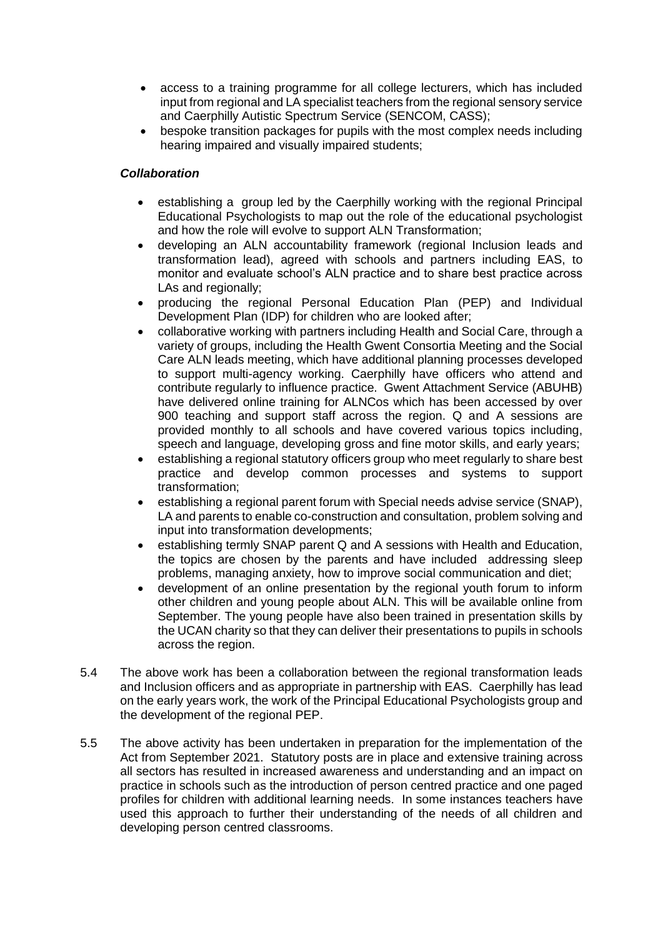- access to a training programme for all college lecturers, which has included input from regional and LA specialist teachers from the regional sensory service and Caerphilly Autistic Spectrum Service (SENCOM, CASS);
- bespoke transition packages for pupils with the most complex needs including hearing impaired and visually impaired students;

## *Collaboration*

- establishing a group led by the Caerphilly working with the regional Principal Educational Psychologists to map out the role of the educational psychologist and how the role will evolve to support ALN Transformation;
- developing an ALN accountability framework (regional Inclusion leads and transformation lead), agreed with schools and partners including EAS, to monitor and evaluate school's ALN practice and to share best practice across LAs and regionally:
- producing the regional Personal Education Plan (PEP) and Individual Development Plan (IDP) for children who are looked after;
- collaborative working with partners including Health and Social Care, through a variety of groups, including the Health Gwent Consortia Meeting and the Social Care ALN leads meeting, which have additional planning processes developed to support multi-agency working. Caerphilly have officers who attend and contribute regularly to influence practice. Gwent Attachment Service (ABUHB) have delivered online training for ALNCos which has been accessed by over 900 teaching and support staff across the region. Q and A sessions are provided monthly to all schools and have covered various topics including, speech and language, developing gross and fine motor skills, and early years;
- establishing a regional statutory officers group who meet regularly to share best practice and develop common processes and systems to support transformation;
- establishing a regional parent forum with Special needs advise service (SNAP), LA and parents to enable co-construction and consultation, problem solving and input into transformation developments;
- establishing termly SNAP parent Q and A sessions with Health and Education, the topics are chosen by the parents and have included addressing sleep problems, managing anxiety, how to improve social communication and diet;
- development of an online presentation by the regional youth forum to inform other children and young people about ALN. This will be available online from September. The young people have also been trained in presentation skills by the UCAN charity so that they can deliver their presentations to pupils in schools across the region.
- 5.4 The above work has been a collaboration between the regional transformation leads and Inclusion officers and as appropriate in partnership with EAS. Caerphilly has lead on the early years work, the work of the Principal Educational Psychologists group and the development of the regional PEP.
- 5.5 The above activity has been undertaken in preparation for the implementation of the Act from September 2021. Statutory posts are in place and extensive training across all sectors has resulted in increased awareness and understanding and an impact on practice in schools such as the introduction of person centred practice and one paged profiles for children with additional learning needs. In some instances teachers have used this approach to further their understanding of the needs of all children and developing person centred classrooms.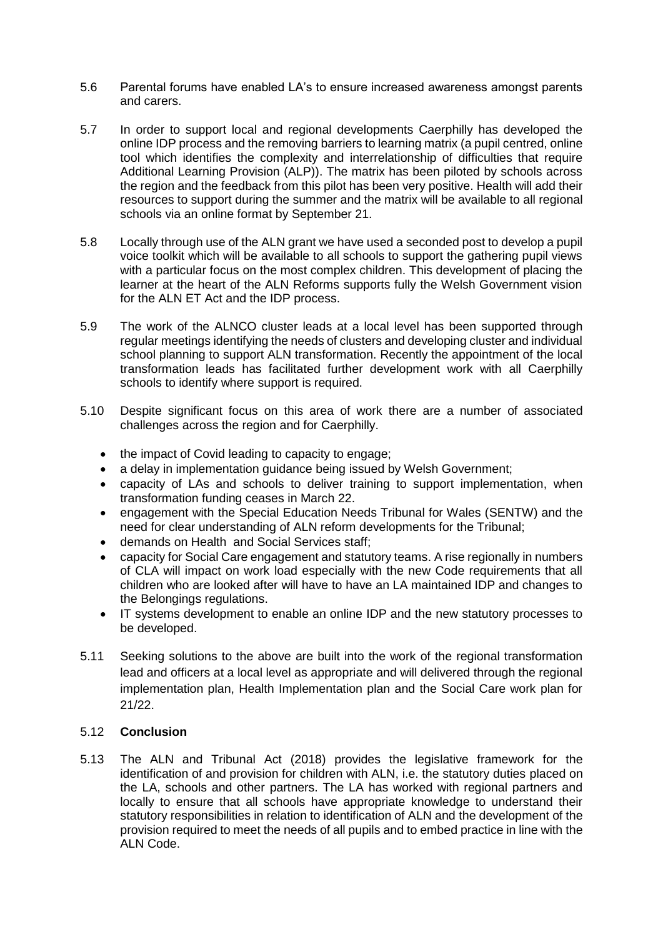- 5.6 Parental forums have enabled LA's to ensure increased awareness amongst parents and carers.
- 5.7 In order to support local and regional developments Caerphilly has developed the online IDP process and the removing barriers to learning matrix (a pupil centred, online tool which identifies the complexity and interrelationship of difficulties that require Additional Learning Provision (ALP)). The matrix has been piloted by schools across the region and the feedback from this pilot has been very positive. Health will add their resources to support during the summer and the matrix will be available to all regional schools via an online format by September 21.
- 5.8 Locally through use of the ALN grant we have used a seconded post to develop a pupil voice toolkit which will be available to all schools to support the gathering pupil views with a particular focus on the most complex children. This development of placing the learner at the heart of the ALN Reforms supports fully the Welsh Government vision for the ALN ET Act and the IDP process.
- 5.9 The work of the ALNCO cluster leads at a local level has been supported through regular meetings identifying the needs of clusters and developing cluster and individual school planning to support ALN transformation. Recently the appointment of the local transformation leads has facilitated further development work with all Caerphilly schools to identify where support is required.
- 5.10 Despite significant focus on this area of work there are a number of associated challenges across the region and for Caerphilly.
	- the impact of Covid leading to capacity to engage;
	- a delay in implementation quidance being issued by Welsh Government;
	- capacity of LAs and schools to deliver training to support implementation, when transformation funding ceases in March 22.
	- engagement with the Special Education Needs Tribunal for Wales (SENTW) and the need for clear understanding of ALN reform developments for the Tribunal;
	- demands on Health and Social Services staff;
	- capacity for Social Care engagement and statutory teams. A rise regionally in numbers of CLA will impact on work load especially with the new Code requirements that all children who are looked after will have to have an LA maintained IDP and changes to the Belongings regulations.
	- IT systems development to enable an online IDP and the new statutory processes to be developed.
- 5.11 Seeking solutions to the above are built into the work of the regional transformation lead and officers at a local level as appropriate and will delivered through the regional implementation plan, Health Implementation plan and the Social Care work plan for 21/22.

## 5.12 **Conclusion**

5.13 The ALN and Tribunal Act (2018) provides the legislative framework for the identification of and provision for children with ALN, i.e. the statutory duties placed on the LA, schools and other partners. The LA has worked with regional partners and locally to ensure that all schools have appropriate knowledge to understand their statutory responsibilities in relation to identification of ALN and the development of the provision required to meet the needs of all pupils and to embed practice in line with the ALN Code.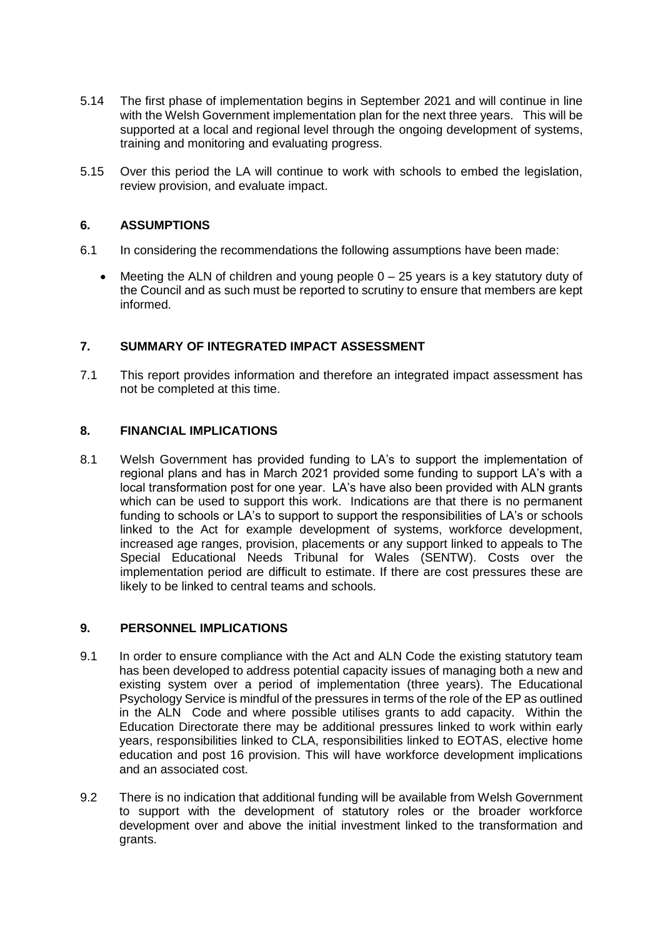- 5.14 The first phase of implementation begins in September 2021 and will continue in line with the Welsh Government implementation plan for the next three years. This will be supported at a local and regional level through the ongoing development of systems, training and monitoring and evaluating progress.
- 5.15 Over this period the LA will continue to work with schools to embed the legislation, review provision, and evaluate impact.

#### **6. ASSUMPTIONS**

- 6.1 In considering the recommendations the following assumptions have been made:
	- Meeting the ALN of children and young people  $0 25$  years is a key statutory duty of the Council and as such must be reported to scrutiny to ensure that members are kept informed.

#### **7. SUMMARY OF INTEGRATED IMPACT ASSESSMENT**

7.1 This report provides information and therefore an integrated impact assessment has not be completed at this time.

#### **8. FINANCIAL IMPLICATIONS**

8.1 Welsh Government has provided funding to LA's to support the implementation of regional plans and has in March 2021 provided some funding to support LA's with a local transformation post for one year. LA's have also been provided with ALN grants which can be used to support this work. Indications are that there is no permanent funding to schools or LA's to support to support the responsibilities of LA's or schools linked to the Act for example development of systems, workforce development, increased age ranges, provision, placements or any support linked to appeals to The Special Educational Needs Tribunal for Wales (SENTW). Costs over the implementation period are difficult to estimate. If there are cost pressures these are likely to be linked to central teams and schools.

#### **9. PERSONNEL IMPLICATIONS**

- 9.1 In order to ensure compliance with the Act and ALN Code the existing statutory team has been developed to address potential capacity issues of managing both a new and existing system over a period of implementation (three years). The Educational Psychology Service is mindful of the pressures in terms of the role of the EP as outlined in the ALN Code and where possible utilises grants to add capacity. Within the Education Directorate there may be additional pressures linked to work within early years, responsibilities linked to CLA, responsibilities linked to EOTAS, elective home education and post 16 provision. This will have workforce development implications and an associated cost.
- 9.2 There is no indication that additional funding will be available from Welsh Government to support with the development of statutory roles or the broader workforce development over and above the initial investment linked to the transformation and grants.